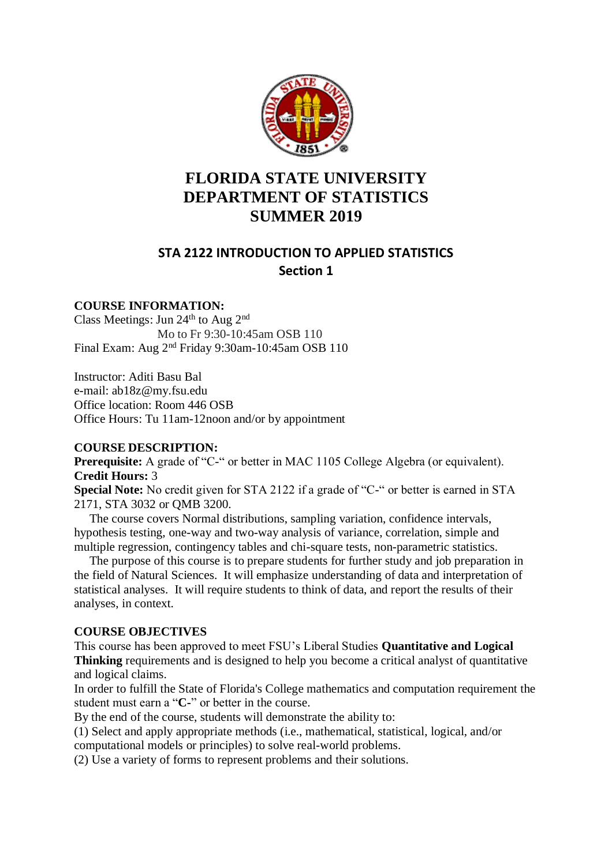

# **FLORIDA STATE UNIVERSITY DEPARTMENT OF STATISTICS SUMMER 2019**

## **STA 2122 INTRODUCTION TO APPLIED STATISTICS Section 1**

## **COURSE INFORMATION:**

Class Meetings: Jun 24<sup>th</sup> to Aug 2<sup>nd</sup> Mo to Fr 9:30-10:45am OSB 110 Final Exam: Aug 2<sup>nd</sup> Friday 9:30am-10:45am OSB 110

Instructor: Aditi Basu Bal e-mail: ab18z@my.fsu.edu Office location: Room 446 OSB Office Hours: Tu 11am-12noon and/or by appointment

## **COURSE DESCRIPTION:**

**Prerequisite:** A grade of "C-" or better in MAC 1105 College Algebra (or equivalent). **Credit Hours:** 3

**Special Note:** No credit given for STA 2122 if a grade of "C-" or better is earned in STA 2171, STA 3032 or QMB 3200.

 The course covers Normal distributions, sampling variation, confidence intervals, hypothesis testing, one-way and two-way analysis of variance, correlation, simple and multiple regression, contingency tables and chi-square tests, non-parametric statistics.

 The purpose of this course is to prepare students for further study and job preparation in the field of Natural Sciences. It will emphasize understanding of data and interpretation of statistical analyses. It will require students to think of data, and report the results of their analyses, in context.

## **COURSE OBJECTIVES**

This course has been approved to meet FSU's Liberal Studies **Quantitative and Logical Thinking** requirements and is designed to help you become a critical analyst of quantitative and logical claims.

In order to fulfill the State of Florida's College mathematics and computation requirement the student must earn a "**C-**" or better in the course.

By the end of the course, students will demonstrate the ability to:

(1) Select and apply appropriate methods (i.e., mathematical, statistical, logical, and/or computational models or principles) to solve real-world problems.

(2) Use a variety of forms to represent problems and their solutions.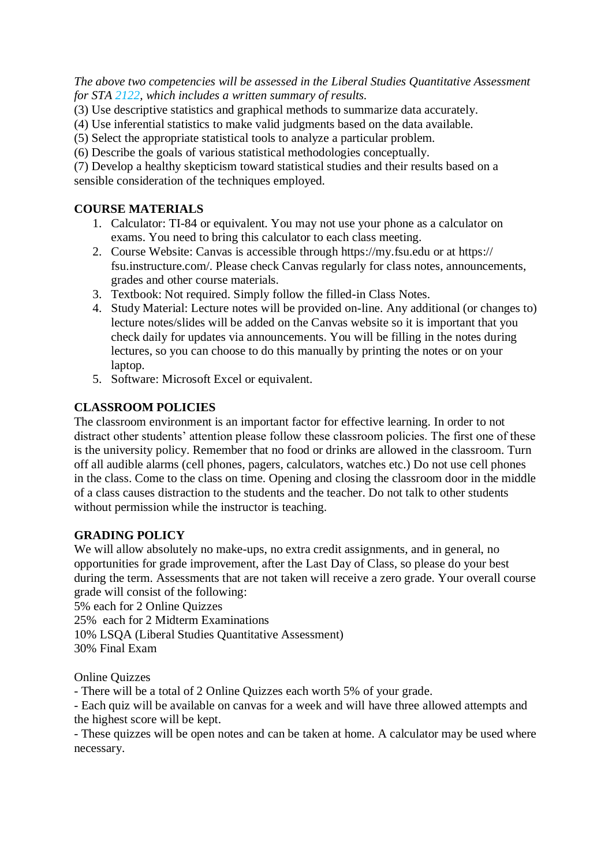*The above two competencies will be assessed in the Liberal Studies Quantitative Assessment for STA 2122, which includes a written summary of results.*

- (3) Use descriptive statistics and graphical methods to summarize data accurately.
- (4) Use inferential statistics to make valid judgments based on the data available.
- (5) Select the appropriate statistical tools to analyze a particular problem.
- (6) Describe the goals of various statistical methodologies conceptually.

(7) Develop a healthy skepticism toward statistical studies and their results based on a sensible consideration of the techniques employed.

## **COURSE MATERIALS**

- 1. Calculator: TI-84 or equivalent. You may not use your phone as a calculator on exams. You need to bring this calculator to each class meeting.
- 2. Course Website: Canvas is accessible through https://my.fsu.edu or at https:// fsu.instructure.com/. Please check Canvas regularly for class notes, announcements, grades and other course materials.
- 3. Textbook: Not required. Simply follow the filled-in Class Notes.
- 4. Study Material: Lecture notes will be provided on-line. Any additional (or changes to) lecture notes/slides will be added on the Canvas website so it is important that you check daily for updates via announcements. You will be filling in the notes during lectures, so you can choose to do this manually by printing the notes or on your laptop.
- 5. Software: Microsoft Excel or equivalent.

## **CLASSROOM POLICIES**

The classroom environment is an important factor for effective learning. In order to not distract other students' attention please follow these classroom policies. The first one of these is the university policy. Remember that no food or drinks are allowed in the classroom. Turn off all audible alarms (cell phones, pagers, calculators, watches etc.) Do not use cell phones in the class. Come to the class on time. Opening and closing the classroom door in the middle of a class causes distraction to the students and the teacher. Do not talk to other students without permission while the instructor is teaching.

## **GRADING POLICY**

We will allow absolutely no make-ups, no extra credit assignments, and in general, no opportunities for grade improvement, after the Last Day of Class, so please do your best during the term. Assessments that are not taken will receive a zero grade. Your overall course grade will consist of the following:

5% each for 2 Online Quizzes

25% each for 2 Midterm Examinations

10% LSQA (Liberal Studies Quantitative Assessment)

30% Final Exam

Online Quizzes

- There will be a total of 2 Online Quizzes each worth 5% of your grade.

- Each quiz will be available on canvas for a week and will have three allowed attempts and the highest score will be kept.

- These quizzes will be open notes and can be taken at home. A calculator may be used where necessary.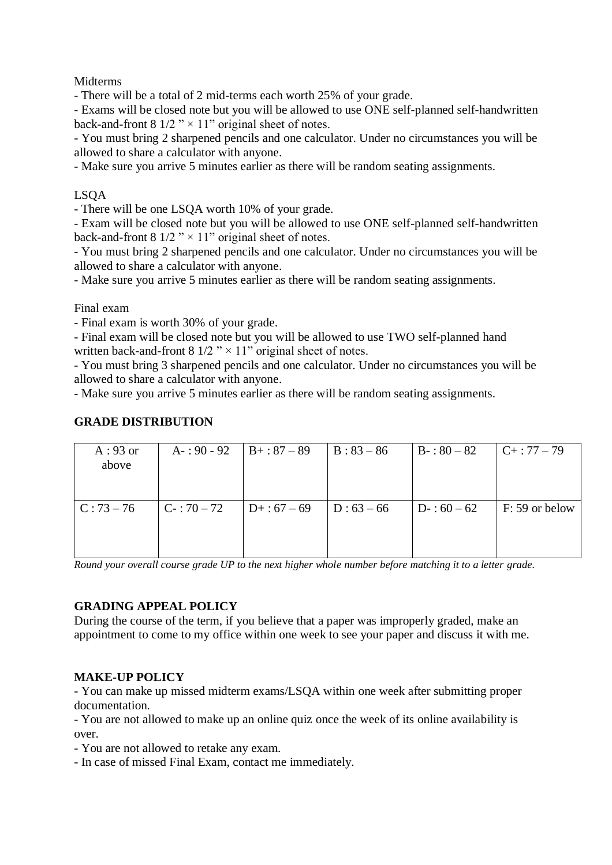**Midterms** 

- There will be a total of 2 mid-terms each worth 25% of your grade.

- Exams will be closed note but you will be allowed to use ONE self-planned self-handwritten back-and-front 8  $1/2$  "  $\times$  11" original sheet of notes.

- You must bring 2 sharpened pencils and one calculator. Under no circumstances you will be allowed to share a calculator with anyone.

- Make sure you arrive 5 minutes earlier as there will be random seating assignments.

## LSQA

- There will be one LSQA worth 10% of your grade.

- Exam will be closed note but you will be allowed to use ONE self-planned self-handwritten back-and-front 8  $1/2$  "  $\times$  11" original sheet of notes.

- You must bring 2 sharpened pencils and one calculator. Under no circumstances you will be allowed to share a calculator with anyone.

- Make sure you arrive 5 minutes earlier as there will be random seating assignments.

Final exam

- Final exam is worth 30% of your grade.

- Final exam will be closed note but you will be allowed to use TWO self-planned hand written back-and-front 8  $1/2$  "  $\times$  11" original sheet of notes.

- You must bring 3 sharpened pencils and one calculator. Under no circumstances you will be allowed to share a calculator with anyone.

- Make sure you arrive 5 minutes earlier as there will be random seating assignments.

#### **GRADE DISTRIBUTION**

| $A:93$ or<br>above | $A - 90 - 92$ | $B+: 87 - 89$  | $B: 83 - 86$ | $B - 80 - 82$ | $C_{+}$ : 77 – 79 |
|--------------------|---------------|----------------|--------------|---------------|-------------------|
| $C: 73 - 76$       | $C-:70-72$    | $D+ : 67 - 69$ | $D: 63 - 66$ | $D-: 60-62$   | F: 59 or below    |

*Round your overall course grade UP to the next higher whole number before matching it to a letter grade.*

#### **GRADING APPEAL POLICY**

During the course of the term, if you believe that a paper was improperly graded, make an appointment to come to my office within one week to see your paper and discuss it with me.

#### **MAKE-UP POLICY**

- You can make up missed midterm exams/LSQA within one week after submitting proper documentation.

- You are not allowed to make up an online quiz once the week of its online availability is over.

- You are not allowed to retake any exam.

- In case of missed Final Exam, contact me immediately.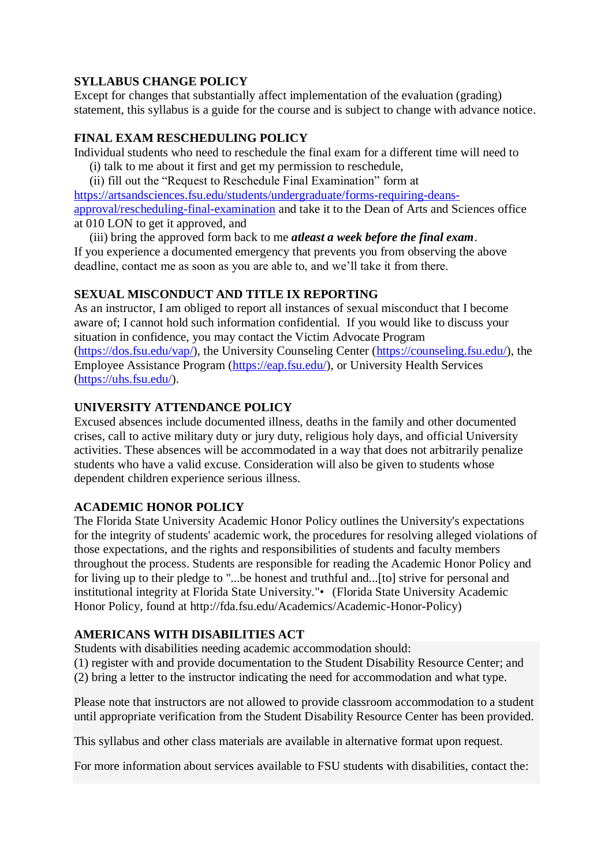## **SYLLABUS CHANGE POLICY**

Except for changes that substantially affect implementation of the evaluation (grading) statement, this syllabus is a guide for the course and is subject to change with advance notice.

## **FINAL EXAM RESCHEDULING POLICY**

Individual students who need to reschedule the final exam for a different time will need to

(i) talk to me about it first and get my permission to reschedule,

 (ii) fill out the "Request to Reschedule Final Examination" form at [https://artsandsciences.fsu.edu/students/undergraduate/forms-requiring-deans](https://artsandsciences.fsu.edu/students/undergraduate/forms-requiring-deans-approval/rescheduling-final-examination)[approval/rescheduling-final-examination](https://artsandsciences.fsu.edu/students/undergraduate/forms-requiring-deans-approval/rescheduling-final-examination) and take it to the Dean of Arts and Sciences office at 010 LON to get it approved, and

 (iii) bring the approved form back to me *atleast a week before the final exam*. If you experience a documented emergency that prevents you from observing the above deadline, contact me as soon as you are able to, and we'll take it from there.

## **SEXUAL MISCONDUCT AND TITLE IX REPORTING**

As an instructor, I am obliged to report all instances of sexual misconduct that I become aware of; I cannot hold such information confidential. If you would like to discuss your situation in confidence, you may contact the Victim Advocate Program [\(https://dos.fsu.edu/vap/\)](https://dos.fsu.edu/vap/), the University Counseling Center [\(https://counseling.fsu.edu/\)](https://counseling.fsu.edu/), the Employee Assistance Program [\(https://eap.fsu.edu/\)](https://eap.fsu.edu/), or University Health Services [\(https://uhs.fsu.edu/\)](https://uhs.fsu.edu/).

## **UNIVERSITY ATTENDANCE POLICY**

Excused absences include documented illness, deaths in the family and other documented crises, call to active military duty or jury duty, religious holy days, and official University activities. These absences will be accommodated in a way that does not arbitrarily penalize students who have a valid excuse. Consideration will also be given to students whose dependent children experience serious illness.

## **ACADEMIC HONOR POLICY**

The Florida State University Academic Honor Policy outlines the University's expectations for the integrity of students' academic work, the procedures for resolving alleged violations of those expectations, and the rights and responsibilities of students and faculty members throughout the process. Students are responsible for reading the Academic Honor Policy and for living up to their pledge to "...be honest and truthful and...[to] strive for personal and institutional integrity at Florida State University."• (Florida State University Academic Honor Policy, found at [http://fda.fsu.edu/Academics/Academic-Honor-Policy\)](http://fda.fsu.edu/Academics/Academic-Honor-Policy)

## **AMERICANS WITH DISABILITIES ACT**

Students with disabilities needing academic accommodation should:

(1) register with and provide documentation to the Student Disability Resource Center; and (2) bring a letter to the instructor indicating the need for accommodation and what type.

Please note that instructors are not allowed to provide classroom accommodation to a student until appropriate verification from the Student Disability Resource Center has been provided.

This syllabus and other class materials are available in alternative format upon request.

For more information about services available to FSU students with disabilities, contact the: